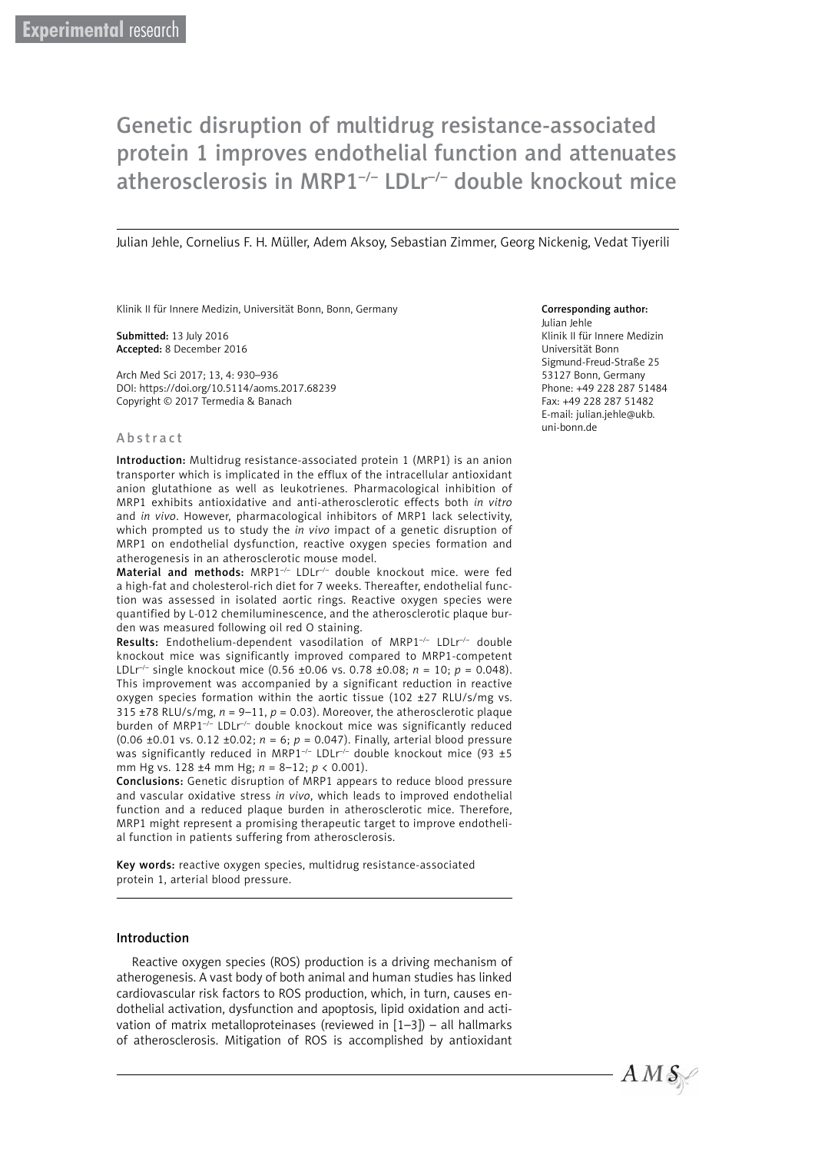# Genetic disruption of multidrug resistance-associated protein 1 improves endothelial function and attenuates atherosclerosis in MRP1–/– LDLr–/– double knockout mice

Julian Jehle, Cornelius F. H. Müller, Adem Aksoy, Sebastian Zimmer, Georg Nickenig, Vedat Tiyerili

Klinik II für Innere Medizin, Universität Bonn, Bonn, Germany

Submitted: 13 July 2016 Accepted: 8 December 2016

Arch Med Sci 2017; 13, 4: 930–936 DOI: https://doi.org/10.5114/aoms.2017.68239 Copyright © 2017 Termedia & Banach

#### Abstract

Introduction: Multidrug resistance-associated protein 1 (MRP1) is an anion transporter which is implicated in the efflux of the intracellular antioxidant anion glutathione as well as leukotrienes. Pharmacological inhibition of MRP1 exhibits antioxidative and anti-atherosclerotic effects both *in vitro* and *in vivo*. However, pharmacological inhibitors of MRP1 lack selectivity, which prompted us to study the *in vivo* impact of a genetic disruption of MRP1 on endothelial dysfunction, reactive oxygen species formation and atherogenesis in an atherosclerotic mouse model.

Material and methods: MRP1<sup>-/-</sup> LDLr<sup>/-</sup> double knockout mice. were fed a high-fat and cholesterol-rich diet for 7 weeks. Thereafter, endothelial function was assessed in isolated aortic rings. Reactive oxygen species were quantified by L-012 chemiluminescence, and the atherosclerotic plaque burden was measured following oil red O staining.

Results: Endothelium-dependent vasodilation of MRP1<sup>-/-</sup> LDLr<sup>-/-</sup> double knockout mice was significantly improved compared to MRP1-competent LDLr–/– single knockout mice (0.56 ±0.06 vs. 0.78 ±0.08; *n* = 10; *p* = 0.048). This improvement was accompanied by a significant reduction in reactive oxygen species formation within the aortic tissue (102 ±27 RLU/s/mg vs. 315  $\pm$ 78 RLU/s/mg,  $n = 9-11$ ,  $p = 0.03$ ). Moreover, the atherosclerotic plaque burden of MRP1 $\frac{1}{2}$  LDLr<sup>-/-</sup> double knockout mice was significantly reduced (0.06 ±0.01 vs. 0.12 ±0.02; *n* = 6; *p* = 0.047). Finally, arterial blood pressure was significantly reduced in MRP1<sup>-/-</sup> LDLr<sup>/-</sup> double knockout mice (93 ±5 mm Hg vs. 128 ±4 mm Hg; *n* = 8–12; *p* < 0.001).

Conclusions: Genetic disruption of MRP1 appears to reduce blood pressure and vascular oxidative stress *in vivo*, which leads to improved endothelial function and a reduced plaque burden in atherosclerotic mice. Therefore, MRP1 might represent a promising therapeutic target to improve endothelial function in patients suffering from atherosclerosis.

Key words: reactive oxygen species, multidrug resistance-associated protein 1, arterial blood pressure.

#### Introduction

Reactive oxygen species (ROS) production is a driving mechanism of atherogenesis. A vast body of both animal and human studies has linked cardiovascular risk factors to ROS production, which, in turn, causes endothelial activation, dysfunction and apoptosis, lipid oxidation and activation of matrix metalloproteinases (reviewed in [1–3]) – all hallmarks of atherosclerosis. Mitigation of ROS is accomplished by antioxidant

#### Corresponding author:

Julian Jehle Klinik II für Innere Medizin Universität Bonn Sigmund-Freud-Straße 25 53127 Bonn, Germany Phone: +49 228 287 51484 Fax: +49 228 287 51482 E-mail: julian.jehle@ukb. uni-bonn.de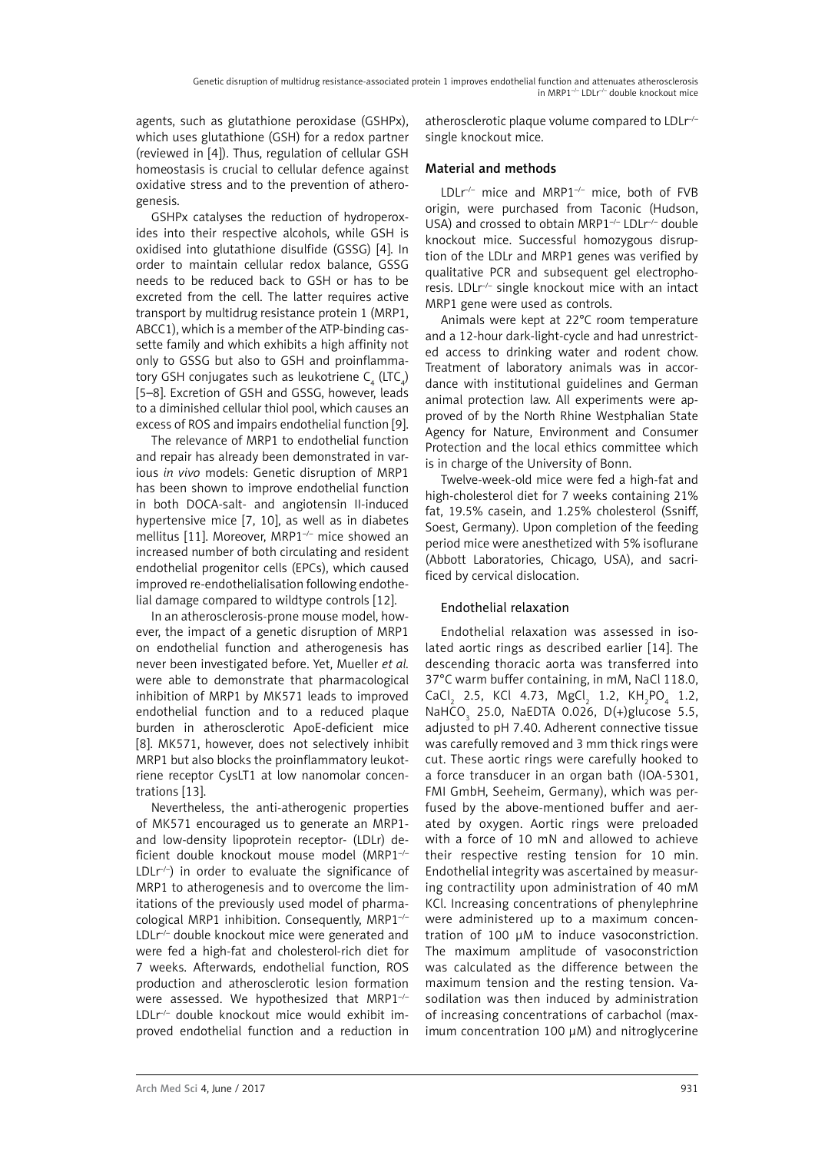agents, such as glutathione peroxidase (GSHPx), which uses glutathione (GSH) for a redox partner (reviewed in [4]). Thus, regulation of cellular GSH homeostasis is crucial to cellular defence against oxidative stress and to the prevention of atherogenesis.

GSHPx catalyses the reduction of hydroperoxides into their respective alcohols, while GSH is oxidised into glutathione disulfide (GSSG) [4]. In order to maintain cellular redox balance, GSSG needs to be reduced back to GSH or has to be excreted from the cell. The latter requires active transport by multidrug resistance protein 1 (MRP1, ABCC1), which is a member of the ATP-binding cassette family and which exhibits a high affinity not only to GSSG but also to GSH and proinflammatory GSH conjugates such as leukotriene C $_4$  (LTC $_4$ ) [5–8]. Excretion of GSH and GSSG, however, leads to a diminished cellular thiol pool, which causes an excess of ROS and impairs endothelial function [9].

The relevance of MRP1 to endothelial function and repair has already been demonstrated in various *in vivo* models: Genetic disruption of MRP1 has been shown to improve endothelial function in both DOCA-salt- and angiotensin II-induced hypertensive mice [7, 10], as well as in diabetes mellitus [11]. Moreover, MRP1–/– mice showed an increased number of both circulating and resident endothelial progenitor cells (EPCs), which caused improved re-endothelialisation following endothelial damage compared to wildtype controls [12].

In an atherosclerosis-prone mouse model, however, the impact of a genetic disruption of MRP1 on endothelial function and atherogenesis has never been investigated before. Yet, Mueller *et al.* were able to demonstrate that pharmacological inhibition of MRP1 by MK571 leads to improved endothelial function and to a reduced plaque burden in atherosclerotic ApoE-deficient mice [8]. MK571, however, does not selectively inhibit MRP1 but also blocks the proinflammatory leukotriene receptor CysLT1 at low nanomolar concentrations [13].

Nevertheless, the anti-atherogenic properties of MK571 encouraged us to generate an MRP1 and low-density lipoprotein receptor- (LDLr) deficient double knockout mouse model (MRP1–/–  $LDLr^{-1}$ ) in order to evaluate the significance of MRP1 to atherogenesis and to overcome the limitations of the previously used model of pharmacological MRP1 inhibition. Consequently, MRP1–/– LDLr<sup>--</sup> double knockout mice were generated and were fed a high-fat and cholesterol-rich diet for 7 weeks. Afterwards, endothelial function, ROS production and atherosclerotic lesion formation were assessed. We hypothesized that MRP1–/– LDLr–/– double knockout mice would exhibit improved endothelial function and a reduction in atherosclerotic plaque volume compared to LDLr<sup>/-</sup> single knockout mice.

# Material and methods

LDLr<sup>-/-</sup> mice and MRP1<sup>-/-</sup> mice, both of FVB origin, were purchased from Taconic (Hudson, USA) and crossed to obtain MRP1<sup>-/-</sup> LDLr<sup>-/-</sup> double knockout mice. Successful homozygous disruption of the LDLr and MRP1 genes was verified by qualitative PCR and subsequent gel electrophoresis. LDLr–/– single knockout mice with an intact MRP1 gene were used as controls.

Animals were kept at 22°C room temperature and a 12-hour dark-light-cycle and had unrestricted access to drinking water and rodent chow. Treatment of laboratory animals was in accordance with institutional guidelines and German animal protection law. All experiments were approved of by the North Rhine Westphalian State Agency for Nature, Environment and Consumer Protection and the local ethics committee which is in charge of the University of Bonn.

Twelve-week-old mice were fed a high-fat and high-cholesterol diet for 7 weeks containing 21% fat, 19.5% casein, and 1.25% cholesterol (Ssniff, Soest, Germany). Upon completion of the feeding period mice were anesthetized with 5% isoflurane (Abbott Laboratories, Chicago, USA), and sacrificed by cervical dislocation.

# Endothelial relaxation

Endothelial relaxation was assessed in isolated aortic rings as described earlier [14]. The descending thoracic aorta was transferred into 37°C warm buffer containing, in mM, NaCl 118.0,  $CaCl<sub>2</sub>$  2.5, KCl 4.73, MgCl<sub>2</sub> 1.2, KH<sub>2</sub>PO<sub>4</sub> 1.2, NaHCO<sub>3</sub> 25.0, NaEDTA 0.026, D(+)glucose 5.5, adjusted to pH 7.40. Adherent connective tissue was carefully removed and 3 mm thick rings were cut. These aortic rings were carefully hooked to a force transducer in an organ bath (IOA-5301, FMI GmbH, Seeheim, Germany), which was perfused by the above-mentioned buffer and aerated by oxygen. Aortic rings were preloaded with a force of 10 mN and allowed to achieve their respective resting tension for 10 min. Endothelial integrity was ascertained by measuring contractility upon administration of 40 mM KCl. Increasing concentrations of phenylephrine were administered up to a maximum concentration of 100 µM to induce vasoconstriction. The maximum amplitude of vasoconstriction was calculated as the difference between the maximum tension and the resting tension. Vasodilation was then induced by administration of increasing concentrations of carbachol (maximum concentration 100 µM) and nitroglycerine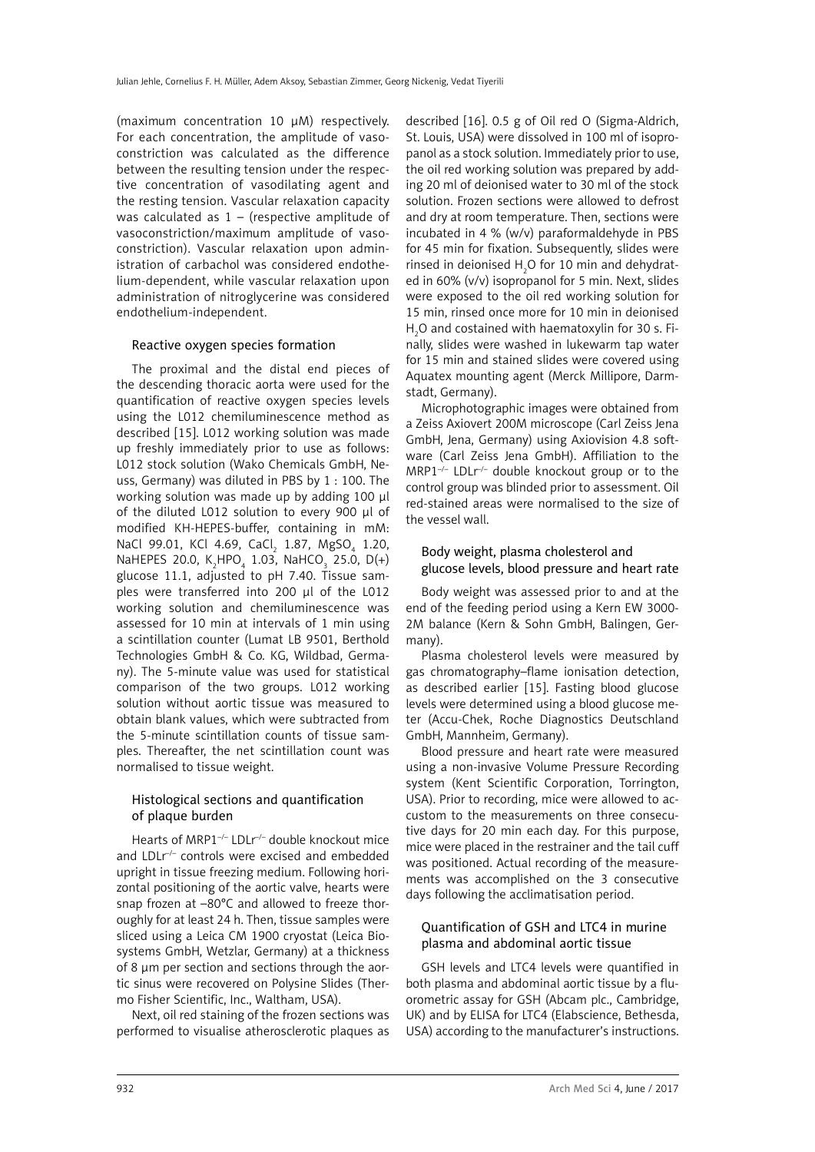(maximum concentration 10 µM) respectively. For each concentration, the amplitude of vasoconstriction was calculated as the difference between the resulting tension under the respective concentration of vasodilating agent and the resting tension. Vascular relaxation capacity was calculated as  $1 -$  (respective amplitude of vasoconstriction/maximum amplitude of vasoconstriction). Vascular relaxation upon administration of carbachol was considered endothelium-dependent, while vascular relaxation upon administration of nitroglycerine was considered endothelium-independent.

#### Reactive oxygen species formation

The proximal and the distal end pieces of the descending thoracic aorta were used for the quantification of reactive oxygen species levels using the L012 chemiluminescence method as described [15]. L012 working solution was made up freshly immediately prior to use as follows: L012 stock solution (Wako Chemicals GmbH, Neuss, Germany) was diluted in PBS by 1 : 100. The working solution was made up by adding 100 µl of the diluted L012 solution to every 900 µl of modified KH-HEPES-buffer, containing in mM: NaCl 99.01, KCl 4.69, CaCl<sub>2</sub> 1.87, MgSO<sub>4</sub> 1.20, NaHEPES 20.0,  $K_2$ HPO<sub>4</sub> 1.03, NaHCO<sub>3</sub> 25.0, D(+) glucose 11.1, adjusted to pH 7.40. Tissue samples were transferred into 200 µl of the L012 working solution and chemiluminescence was assessed for 10 min at intervals of 1 min using a scintillation counter (Lumat LB 9501, Berthold Technologies GmbH & Co. KG, Wildbad, Germany). The 5-minute value was used for statistical comparison of the two groups. L012 working solution without aortic tissue was measured to obtain blank values, which were subtracted from the 5-minute scintillation counts of tissue samples. Thereafter, the net scintillation count was normalised to tissue weight.

#### Histological sections and quantification of plaque burden

Hearts of MRP1<sup>-/-</sup> LDLr<sup>/-</sup> double knockout mice and LDLr<sup>/-</sup> controls were excised and embedded upright in tissue freezing medium. Following horizontal positioning of the aortic valve, hearts were snap frozen at –80°C and allowed to freeze thoroughly for at least 24 h. Then, tissue samples were sliced using a Leica CM 1900 cryostat (Leica Biosystems GmbH, Wetzlar, Germany) at a thickness of 8 um per section and sections through the aortic sinus were recovered on Polysine Slides (Thermo Fisher Scientific, Inc., Waltham, USA).

Next, oil red staining of the frozen sections was performed to visualise atherosclerotic plaques as

described [16]. 0.5 g of Oil red O (Sigma-Aldrich, St. Louis, USA) were dissolved in 100 ml of isopropanol as a stock solution. Immediately prior to use, the oil red working solution was prepared by adding 20 ml of deionised water to 30 ml of the stock solution. Frozen sections were allowed to defrost and dry at room temperature. Then, sections were incubated in 4 % (w/v) paraformaldehyde in PBS for 45 min for fixation. Subsequently, slides were rinsed in deionised  $H_2O$  for 10 min and dehydrated in 60% (v/v) isopropanol for 5 min. Next, slides were exposed to the oil red working solution for 15 min, rinsed once more for 10 min in deionised  $H_2$ O and costained with haematoxylin for 30 s. Finally, slides were washed in lukewarm tap water for 15 min and stained slides were covered using Aquatex mounting agent (Merck Millipore, Darmstadt, Germany).

Microphotographic images were obtained from a Zeiss Axiovert 200M microscope (Carl Zeiss Jena GmbH, Jena, Germany) using Axiovision 4.8 software (Carl Zeiss Jena GmbH). Affiliation to the MRP1<sup>-/-</sup> LDLr<sup>/-</sup> double knockout group or to the control group was blinded prior to assessment. Oil red-stained areas were normalised to the size of the vessel wall.

# Body weight, plasma cholesterol and glucose levels, blood pressure and heart rate

Body weight was assessed prior to and at the end of the feeding period using a Kern EW 3000- 2M balance (Kern & Sohn GmbH, Balingen, Germany).

Plasma cholesterol levels were measured by gas chromatography–flame ionisation detection, as described earlier [15]. Fasting blood glucose levels were determined using a blood glucose meter (Accu-Chek, Roche Diagnostics Deutschland GmbH, Mannheim, Germany).

Blood pressure and heart rate were measured using a non-invasive Volume Pressure Recording system (Kent Scientific Corporation, Torrington, USA). Prior to recording, mice were allowed to accustom to the measurements on three consecutive days for 20 min each day. For this purpose, mice were placed in the restrainer and the tail cuff was positioned. Actual recording of the measurements was accomplished on the 3 consecutive days following the acclimatisation period.

# Quantification of GSH and LTC4 in murine plasma and abdominal aortic tissue

GSH levels and LTC4 levels were quantified in both plasma and abdominal aortic tissue by a fluorometric assay for GSH (Abcam plc., Cambridge, UK) and by ELISA for LTC4 (Elabscience, Bethesda, USA) according to the manufacturer's instructions.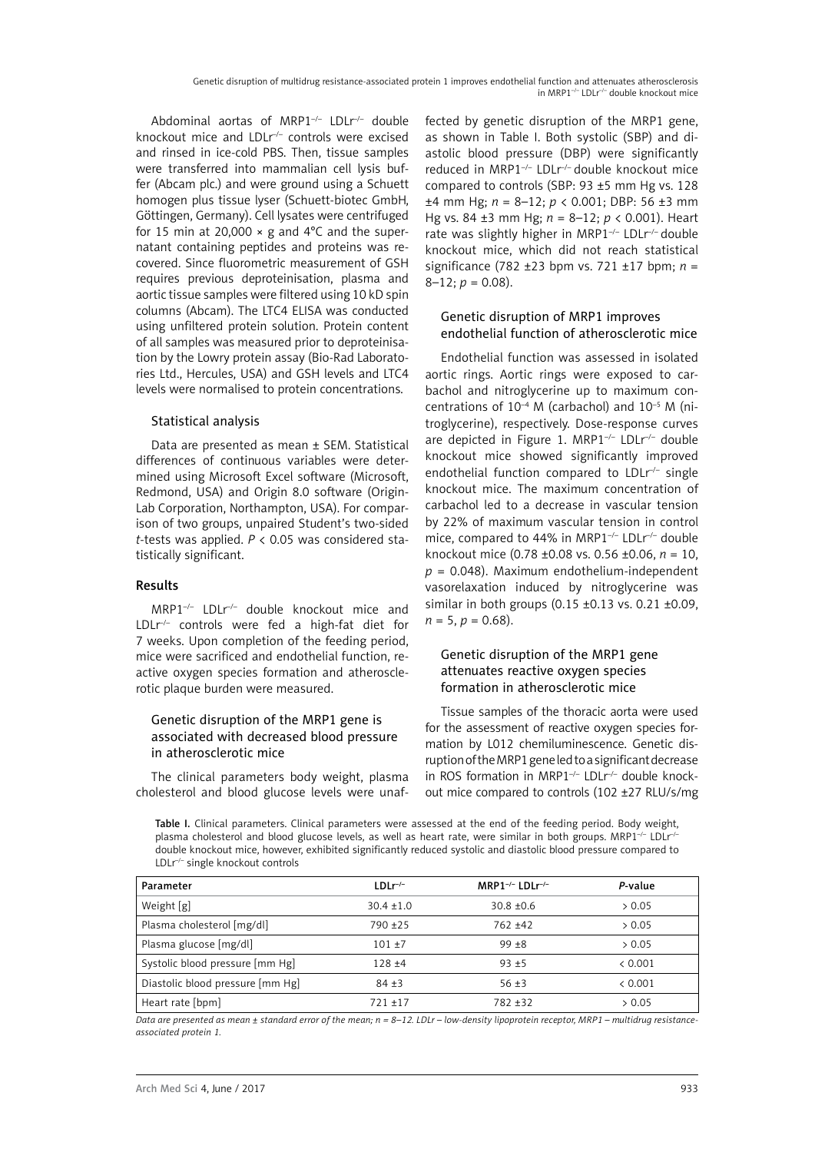Abdominal aortas of MRP1<sup>-/-</sup> LDLr<sup>/-</sup> double knockout mice and LDLr<sup>/-</sup> controls were excised and rinsed in ice-cold PBS. Then, tissue samples were transferred into mammalian cell lysis buffer (Abcam plc.) and were ground using a Schuett homogen plus tissue lyser (Schuett-biotec GmbH, Göttingen, Germany). Cell lysates were centrifuged for 15 min at 20,000  $\times$  g and 4°C and the supernatant containing peptides and proteins was recovered. Since fluorometric measurement of GSH requires previous deproteinisation, plasma and aortic tissue samples were filtered using 10 kD spin columns (Abcam). The LTC4 ELISA was conducted using unfiltered protein solution. Protein content of all samples was measured prior to deproteinisation by the Lowry protein assay (Bio-Rad Laboratories Ltd., Hercules, USA) and GSH levels and LTC4 levels were normalised to protein concentrations.

#### Statistical analysis

Data are presented as mean ± SEM. Statistical differences of continuous variables were determined using Microsoft Excel software (Microsoft, Redmond, USA) and Origin 8.0 software (Origin-Lab Corporation, Northampton, USA). For comparison of two groups, unpaired Student's two-sided *t*-tests was applied. *P* < 0.05 was considered statistically significant.

#### Results

MRP1–/– LDLr–/– double knockout mice and LDLr–/– controls were fed a high-fat diet for 7 weeks. Upon completion of the feeding period, mice were sacrificed and endothelial function, reactive oxygen species formation and atherosclerotic plaque burden were measured.

#### Genetic disruption of the MRP1 gene is associated with decreased blood pressure in atherosclerotic mice

The clinical parameters body weight, plasma cholesterol and blood glucose levels were unaffected by genetic disruption of the MRP1 gene, as shown in Table I. Both systolic (SBP) and diastolic blood pressure (DBP) were significantly reduced in MRP1–/– LDLr–/– double knockout mice compared to controls (SBP: 93 ±5 mm Hg vs. 128 ±4 mm Hg; *n* = 8–12; *p* < 0.001; DBP: 56 ±3 mm Hg vs. 84 ±3 mm Hg; *n* = 8–12; *p* < 0.001). Heart rate was slightly higher in MRP1–/– LDLr–/– double knockout mice, which did not reach statistical significance (782 ±23 bpm vs. 721 ±17 bpm; *n* =  $8-12$ ;  $p = 0.08$ ).

# Genetic disruption of MRP1 improves endothelial function of atherosclerotic mice

Endothelial function was assessed in isolated aortic rings. Aortic rings were exposed to carbachol and nitroglycerine up to maximum concentrations of  $10^{-4}$  M (carbachol) and  $10^{-5}$  M (nitroglycerine), respectively. Dose-response curves are depicted in Figure 1. MRP1<sup>-/-</sup> LDLr<sup>/-</sup> double knockout mice showed significantly improved endothelial function compared to  $LDLr^{-}$  single knockout mice. The maximum concentration of carbachol led to a decrease in vascular tension by 22% of maximum vascular tension in control mice, compared to 44% in MRP1<sup>-/-</sup> LDLr<sup>/-</sup> double knockout mice (0.78 ±0.08 vs. 0.56 ±0.06, *n* = 10, *p* = 0.048). Maximum endothelium-independent vasorelaxation induced by nitroglycerine was similar in both groups (0.15 ±0.13 vs. 0.21 ±0.09,  $n = 5, p = 0.68$ .

# Genetic disruption of the MRP1 gene attenuates reactive oxygen species formation in atherosclerotic mice

Tissue samples of the thoracic aorta were used for the assessment of reactive oxygen species formation by L012 chemiluminescence. Genetic disruption of the MRP1 gene led to a significant decrease in ROS formation in MRP1<sup>-/-</sup> LDLr<sup>-/-</sup> double knockout mice compared to controls (102 ±27 RLU/s/mg

Table I. Clinical parameters. Clinical parameters were assessed at the end of the feeding period. Body weight, plasma cholesterol and blood glucose levels, as well as heart rate, were similar in both groups. MRP1<sup>-/-</sup> LDLr<sup>/-</sup> double knockout mice, however, exhibited significantly reduced systolic and diastolic blood pressure compared to LDLr–/– single knockout controls

| Parameter                        | $LDLr^{-/-}$   | MRP1 <sup>-/-</sup> LDL $r$ <sup>/-</sup> | P-value |
|----------------------------------|----------------|-------------------------------------------|---------|
| Weight [g]                       | $30.4 \pm 1.0$ | $30.8 \pm 0.6$                            | > 0.05  |
| Plasma cholesterol [mg/dl]       | $790 + 25$     | $762 + 42$                                | > 0.05  |
| Plasma glucose [mg/dl]           | $101 + 7$      | $99 + 8$                                  | > 0.05  |
| Systolic blood pressure [mm Hg]  | $128 + 4$      | $93 + 5$                                  | < 0.001 |
| Diastolic blood pressure [mm Hg] | $84 + 3$       | $56 + 3$                                  | < 0.001 |
| Heart rate [bpm]                 | $721 + 17$     | 782 +32                                   | > 0.05  |

*Data are presented as mean ± standard error of the mean; n = 8–12. LDLr – low-density lipoprotein receptor, MRP1 – multidrug resistanceassociated protein 1.*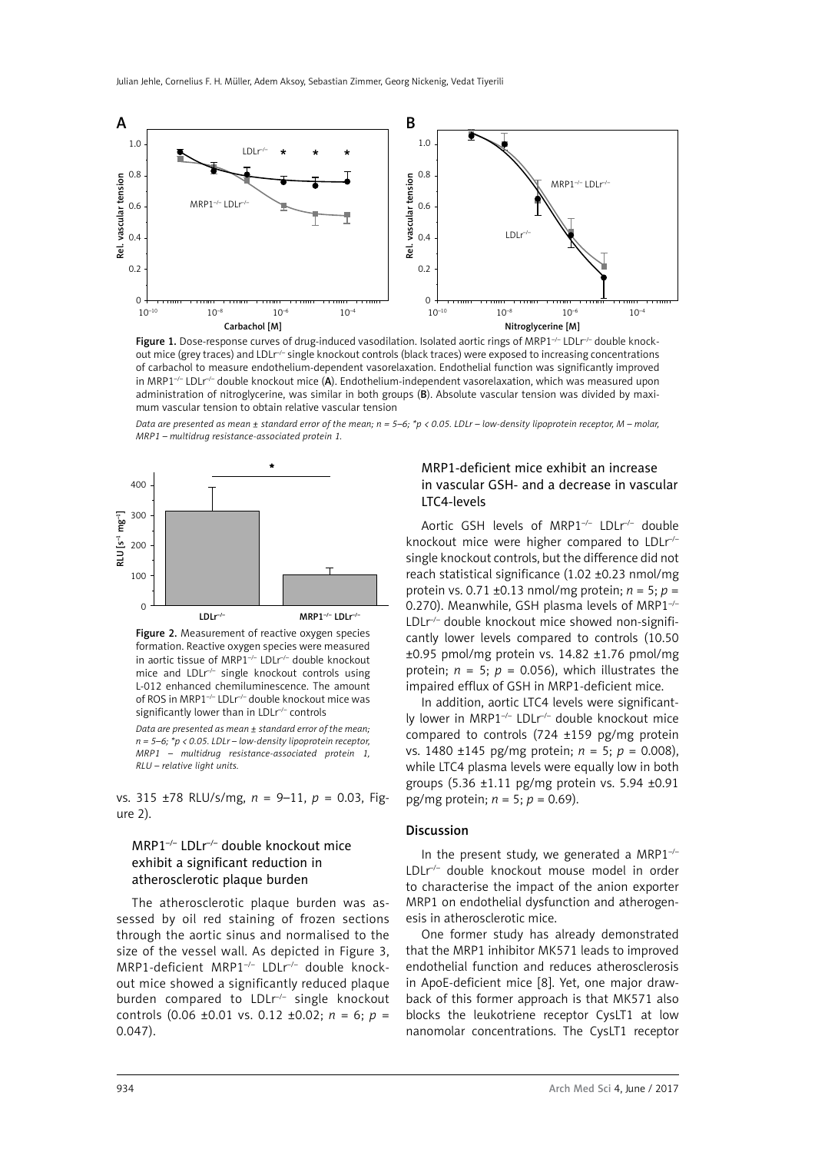

Figure 1. Dose-response curves of drug-induced vasodilation. Isolated aortic rings of MRP1 $\neg$ -LDL $\neg$ -double knockout mice (grey traces) and LDLr<sup>/-</sup> single knockout controls (black traces) were exposed to increasing concentrations of carbachol to measure endothelium-dependent vasorelaxation. Endothelial function was significantly improved in MRP1<sup>-/-</sup> LDLr<sup>/-</sup> double knockout mice (A). Endothelium-independent vasorelaxation, which was measured upon administration of nitroglycerine, was similar in both groups (B). Absolute vascular tension was divided by maximum vascular tension to obtain relative vascular tension

*Data are presented as mean ± standard error of the mean; n = 5–6; \*p < 0.05. LDLr – low-density lipoprotein receptor, M – molar, MRP1 – multidrug resistance-associated protein 1.*



Figure 2. Measurement of reactive oxygen species formation. Reactive oxygen species were measured in aortic tissue of MRP1–/– LDLr–/– double knockout mice and  $LDLr^{-}$  single knockout controls using L-012 enhanced chemiluminescence. The amount of ROS in MRP1–/– LDLr–/– double knockout mice was significantly lower than in LDLr<sup>-/-</sup> controls

*Data are presented as mean ± standard error of the mean; n = 5–6; \*p < 0.05. LDLr – low-density lipoprotein receptor, MRP1 – multidrug resistance-associated protein 1, RLU – relative light units.*

vs. 315 ±78 RLU/s/mg, *n* = 9–11, *p* = 0.03, Figure 2).

# MRP1–/– LDLr–/– double knockout mice exhibit a significant reduction in atherosclerotic plaque burden

The atherosclerotic plaque burden was assessed by oil red staining of frozen sections through the aortic sinus and normalised to the size of the vessel wall. As depicted in Figure 3, MRP1-deficient MRP1–/– LDLr–/– double knockout mice showed a significantly reduced plaque burden compared to LDLr<sup>-/-</sup> single knockout controls (0.06 ±0.01 vs. 0.12 ±0.02; *n* = 6; *p* = 0.047).

#### MRP1-deficient mice exhibit an increase in vascular GSH- and a decrease in vascular LTC4-levels

Aortic GSH levels of MRP1<sup>-/-</sup> LDLr<sup>-/-</sup> double knockout mice were higher compared to LDLr<sup>-/-</sup> single knockout controls, but the difference did not reach statistical significance (1.02 ±0.23 nmol/mg protein vs. 0.71 ±0.13 nmol/mg protein; *n* = 5; *p* = 0.270). Meanwhile, GSH plasma levels of MRP1<sup>-/-</sup> LDLr<sup>-/-</sup> double knockout mice showed non-significantly lower levels compared to controls (10.50 ±0.95 pmol/mg protein vs. 14.82 ±1.76 pmol/mg protein;  $n = 5$ ;  $p = 0.056$ ), which illustrates the impaired efflux of GSH in MRP1-deficient mice.

In addition, aortic LTC4 levels were significantly lower in MRP1–/– LDLr–/– double knockout mice compared to controls (724 ±159 pg/mg protein vs. 1480 ±145 pg/mg protein; *n* = 5; *p* = 0.008), while LTC4 plasma levels were equally low in both groups (5.36 ±1.11 pg/mg protein vs. 5.94 ±0.91 pg/mg protein; *n* = 5; *p* = 0.69).

#### Discussion

In the present study, we generated a MRP1 $^{-/-}$ LDLr–/– double knockout mouse model in order to characterise the impact of the anion exporter MRP1 on endothelial dysfunction and atherogenesis in atherosclerotic mice.

One former study has already demonstrated that the MRP1 inhibitor MK571 leads to improved endothelial function and reduces atherosclerosis in ApoE-deficient mice [8]. Yet, one major drawback of this former approach is that MK571 also blocks the leukotriene receptor CysLT1 at low nanomolar concentrations. The CysLT1 receptor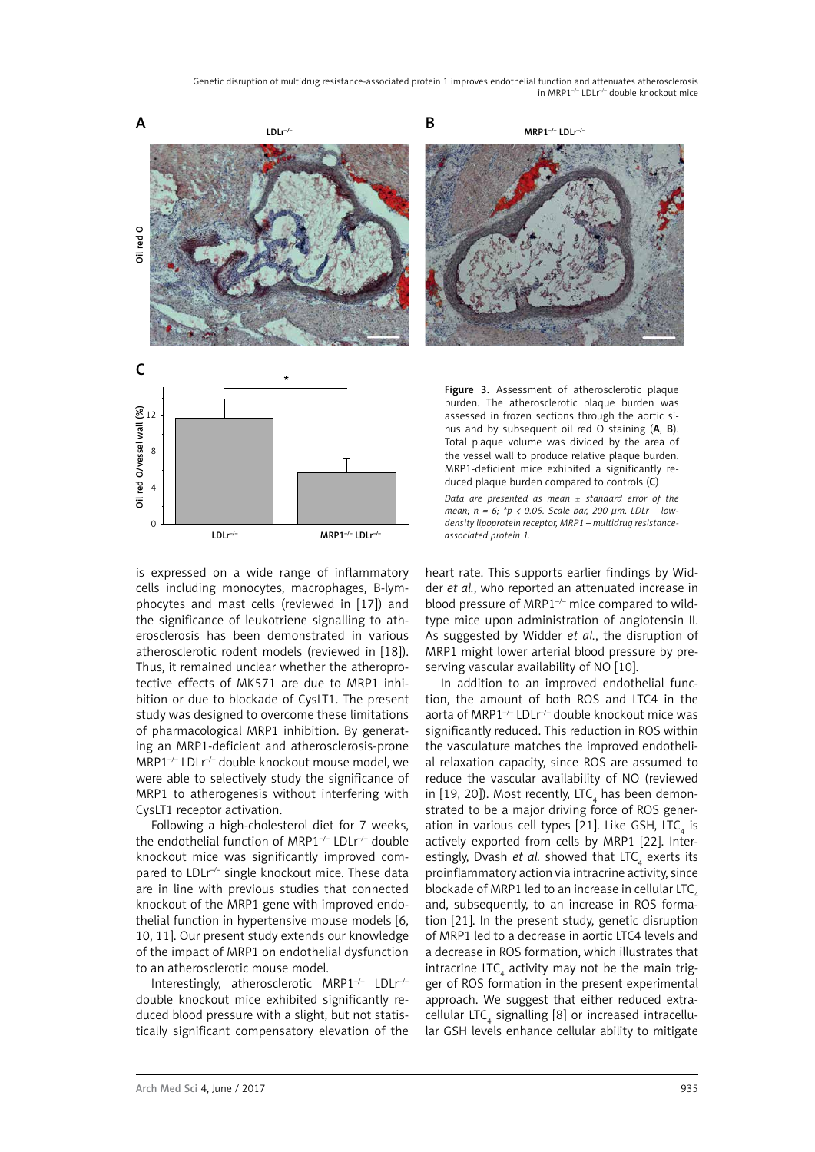Genetic disruption of multidrug resistance-associated protein 1 improves endothelial function and attenuates atherosclerosis in MRP1–/– LDLr–/– double knockout mice



LDLr–/– MRP1–/– LDLr–/–

is expressed on a wide range of inflammatory cells including monocytes, macrophages, B-lymphocytes and mast cells (reviewed in [17]) and the significance of leukotriene signalling to atherosclerosis has been demonstrated in various atherosclerotic rodent models (reviewed in [18]). Thus, it remained unclear whether the atheroprotective effects of MK571 are due to MRP1 inhibition or due to blockade of CysLT1. The present study was designed to overcome these limitations of pharmacological MRP1 inhibition. By generating an MRP1-deficient and atherosclerosis-prone MRP1–/– LDLr–/– double knockout mouse model, we were able to selectively study the significance of MRP1 to atherogenesis without interfering with CysLT1 receptor activation.

Following a high-cholesterol diet for 7 weeks, the endothelial function of MRP1<sup>-/-</sup> LDLr<sup>/-</sup> double knockout mice was significantly improved compared to LDLr<sup>--</sup> single knockout mice. These data are in line with previous studies that connected knockout of the MRP1 gene with improved endothelial function in hypertensive mouse models [6, 10, 11]. Our present study extends our knowledge of the impact of MRP1 on endothelial dysfunction to an atherosclerotic mouse model.

Interestingly, atherosclerotic MRP1–/– LDLr–/– double knockout mice exhibited significantly reduced blood pressure with a slight, but not statistically significant compensatory elevation of the nus and by subsequent oil red  $\overline{O}$  staining  $(A, B)$ . Total plaque volume was divided by the area of the vessel wall to produce relative plaque burden. MRP1-deficient mice exhibited a significantly reduced plaque burden compared to controls (C) *Data are presented as mean ± standard error of the mean; n = 6; \*p < 0.05. Scale bar, 200 µm. LDLr – lowdensity lipoprotein receptor, MRP1 – multidrug resistance-*

*associated protein 1.*

heart rate. This supports earlier findings by Widder *et al.*, who reported an attenuated increase in blood pressure of MRP1<sup>-/-</sup> mice compared to wildtype mice upon administration of angiotensin II. As suggested by Widder *et al.*, the disruption of MRP1 might lower arterial blood pressure by preserving vascular availability of NO [10].

In addition to an improved endothelial function, the amount of both ROS and LTC4 in the aorta of MRP1–/– LDLr–/– double knockout mice was significantly reduced. This reduction in ROS within the vasculature matches the improved endothelial relaxation capacity, since ROS are assumed to reduce the vascular availability of NO (reviewed in [19, 20]). Most recently, LTC<sub>4</sub> has been demonstrated to be a major driving force of ROS generation in various cell types [21]. Like GSH, LTC<sub>4</sub> is actively exported from cells by MRP1 [22]. Interestingly, Dvash et al. showed that LTC<sub>4</sub> exerts its proinflammatory action via intracrine activity, since blockade of MRP1 led to an increase in cellular LTC $<sub>4</sub>$ </sub> and, subsequently, to an increase in ROS formation [21]. In the present study, genetic disruption of MRP1 led to a decrease in aortic LTC4 levels and a decrease in ROS formation, which illustrates that intracrine LTC<sub>4</sub> activity may not be the main trigger of ROS formation in the present experimental approach. We suggest that either reduced extracellular LTC<sub>4</sub> signalling [8] or increased intracellular GSH levels enhance cellular ability to mitigate